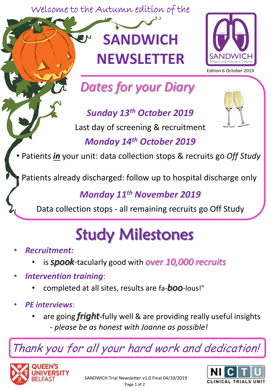Welcome to the Autumn edition of the

## **SANDWICH NEWSLETTER**



Edition 6 October 2019

*Dates for your Diary*

*Sunday 13th October 2019* 

Last day of screening & recruitment

## *Monday 14th October 2019*

• Patients *in* your unit: data collection stops & recruits go *Off Study*

• Patients already discharged: follow up to hospital discharge only

*Monday 11th November 2019*

Data collection stops - all remaining recruits go Off Study

## Study Milestones

- *Recruitment:* 
	- is *spook*-tacularly good with *over 10,000 recruits*
- *Intervention training*:
	- completed at all sites, results are fa-*boo*-lous!"
- *PE interviews*:
	- are going *fright-*fully well & are providing really useful insights - *please be as honest with Joanne as possible!*

Thank you for all your hard work and dedication!